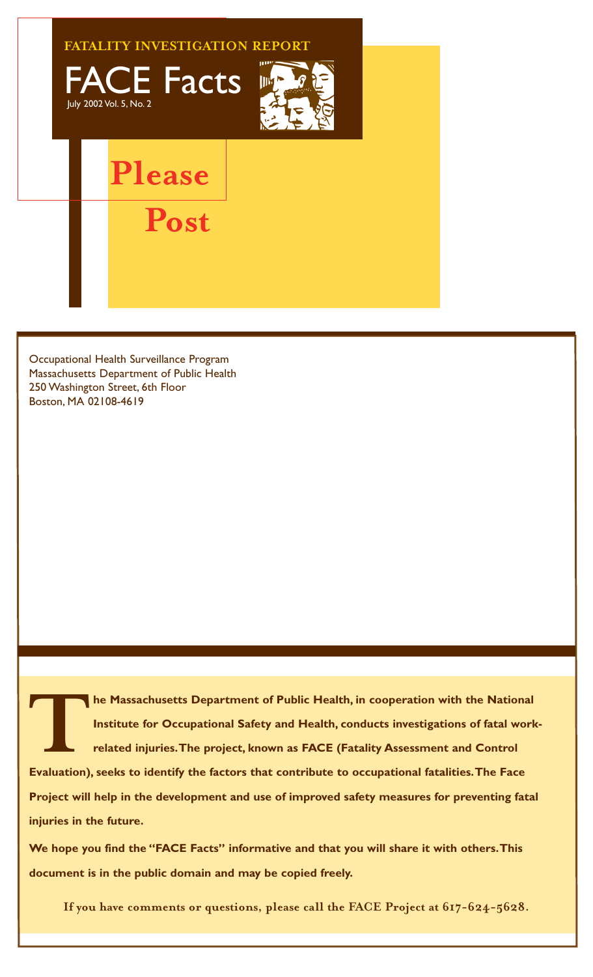

Occupational Health Surveillance Program Massachusetts Department of Public Health 250 Washington Street, 6th Floor Boston, MA 02108-4619

**TABLE MASSACHUSETS Department of Public Health, in cooperation with the National<br>
Institute for Occupational Safety and Health, conducts investigations of fatal worl<br>
related injuries. The project, known as FACE (Fatality Institute for Occupational Safety and Health, conducts investigations of fatal workrelated injuries.The project, known as FACE (Fatality Assessment and Control Project will help in the development and use of improved safety measures for preventing fatal injuries in the future.**

**We hope you find the "FACE Facts" informative and that you will share it with others.This document is in the public domain and may be copied freely.**

**If you have comments or questions, please call the FACE Project at 617-624-5628.**